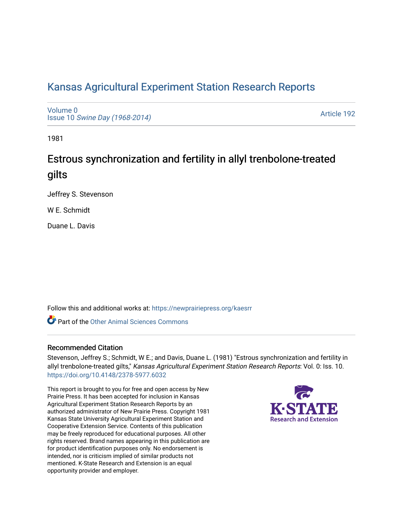# [Kansas Agricultural Experiment Station Research Reports](https://newprairiepress.org/kaesrr)

[Volume 0](https://newprairiepress.org/kaesrr/vol0) Issue 10 [Swine Day \(1968-2014\)](https://newprairiepress.org/kaesrr/vol0/iss10)

[Article 192](https://newprairiepress.org/kaesrr/vol0/iss10/192) 

1981

# Estrous synchronization and fertility in allyl trenbolone-treated gilts

Jeffrey S. Stevenson

W E. Schmidt

Duane L. Davis

Follow this and additional works at: [https://newprairiepress.org/kaesrr](https://newprairiepress.org/kaesrr?utm_source=newprairiepress.org%2Fkaesrr%2Fvol0%2Fiss10%2F192&utm_medium=PDF&utm_campaign=PDFCoverPages) 

**C** Part of the [Other Animal Sciences Commons](http://network.bepress.com/hgg/discipline/82?utm_source=newprairiepress.org%2Fkaesrr%2Fvol0%2Fiss10%2F192&utm_medium=PDF&utm_campaign=PDFCoverPages)

## Recommended Citation

Stevenson, Jeffrey S.; Schmidt, W E.; and Davis, Duane L. (1981) "Estrous synchronization and fertility in allyl trenbolone-treated gilts," Kansas Agricultural Experiment Station Research Reports: Vol. 0: Iss. 10. <https://doi.org/10.4148/2378-5977.6032>

This report is brought to you for free and open access by New Prairie Press. It has been accepted for inclusion in Kansas Agricultural Experiment Station Research Reports by an authorized administrator of New Prairie Press. Copyright 1981 Kansas State University Agricultural Experiment Station and Cooperative Extension Service. Contents of this publication may be freely reproduced for educational purposes. All other rights reserved. Brand names appearing in this publication are for product identification purposes only. No endorsement is intended, nor is criticism implied of similar products not mentioned. K-State Research and Extension is an equal opportunity provider and employer.

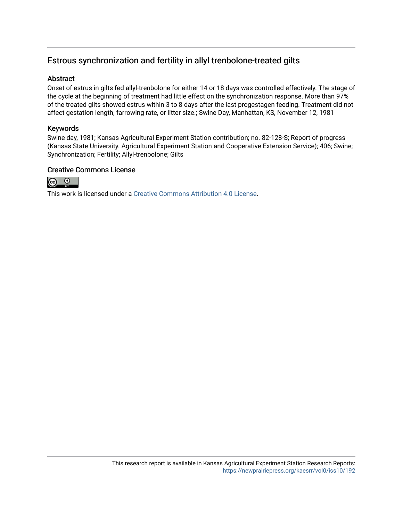# Estrous synchronization and fertility in allyl trenbolone-treated gilts

### Abstract

Onset of estrus in gilts fed allyl-trenbolone for either 14 or 18 days was controlled effectively. The stage of the cycle at the beginning of treatment had little effect on the synchronization response. More than 97% of the treated gilts showed estrus within 3 to 8 days after the last progestagen feeding. Treatment did not affect gestation length, farrowing rate, or litter size.; Swine Day, Manhattan, KS, November 12, 1981

### Keywords

Swine day, 1981; Kansas Agricultural Experiment Station contribution; no. 82-128-S; Report of progress (Kansas State University. Agricultural Experiment Station and Cooperative Extension Service); 406; Swine; Synchronization; Fertility; Allyl-trenbolone; Gilts

### Creative Commons License



This work is licensed under a [Creative Commons Attribution 4.0 License](https://creativecommons.org/licenses/by/4.0/).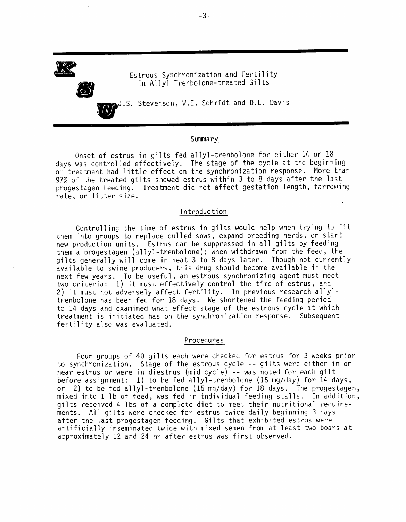Estrous Synchronization and Fertility in Allyl Trenbolone-treated Gilts

J.S. Stevenson, W.E. Schmidt and D.L. Davis

#### Summary

Onset of estrus in gilts fed allyl-trenbolone for either 14 or 18 days was controlled effectively. The stage of the cycle at the beginning of treatment had little effect on the synchronization response. More than 97% of the treated gilts showed estrus within 3 to 8 days after the last progestagen feeding. Treatment did not affect gestation length, farrowing rate, or litter size.

#### Introduction

Controlling the time of estrus in gilts would help when trying to fit them into groups to replace culled sows, expand breeding herds, or start new production units. Estrus can be suppressed in all gilts by feeding them a progestagen (allyl-trenbolone); when withdrawn from the feed, the gilts generally will come in heat 3 to 8 days later. Though not currently available to swine producers, this drug should become available in the next few years. To be useful, an estrous synchronizing agent must meet two criteria: 1) it must effectively control the time of estrus, and 2) it must not adversely affect fertility. In previous research allyltrenbolone has been fed for 18 days. We shortened the feeding period to 14 days and examined what effect stage of the estrous cycle at which treatment is initiated has on the synchronization response. Subsequent fertility also was evaluated.

#### Procedures

Four groups of 40 gilts each were checked for estrus for 3 weeks prior to synchronization. Stage of the estrous cycle -- gilts were either in or near estrus or were in diestrus (mid cycle) -- was noted for each gilt before assignment: 1) to be fed allyl-trenbolone (15 mg/day) for 14 days, or 2) to be fed allyl-trenbolone (15 mg/day) for 18 days. The progestagen, mixed into 1 lb of feed, was fed in individual feeding stalls. In addition, gilts received 4 lbs of a complete diet to meet their nutritional requirements. All gilts were checked for estrus twice daily beginning 3 days after the last progestagen feeding. Gilts that exhibited estrus were artificially inseminated twice with mixed semen from at least two boars at approximately 12 and 24 hr after estrus was first observed.